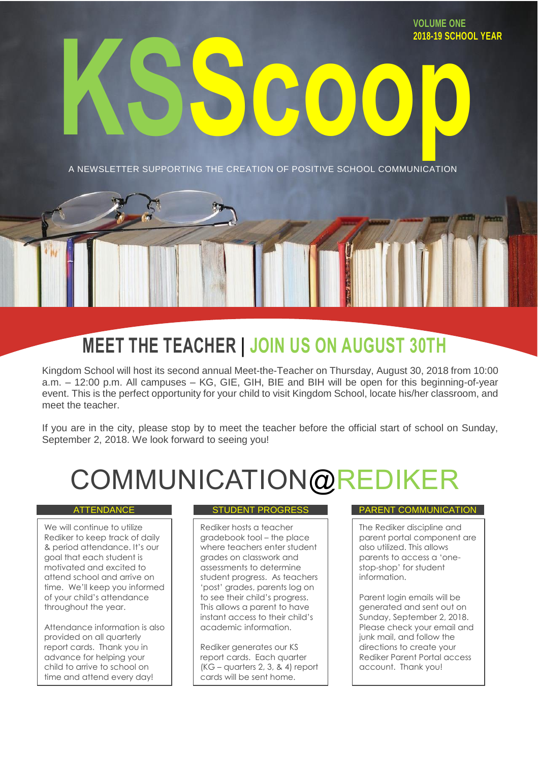**VOLUME ONE 2018-19 SCHOOL YEAR**

A NEWSLETTER SUPPORTING THE CREATION OF POSITIVE SCHOOL COMMUNICATION

**KSScoop**

# **MEET THE TEACHER | JOIN US ON AUGUST 30TH**

Kingdom School will host its second annual Meet-the-Teacher on Thursday, August 30, 2018 from 10:00 a.m. – 12:00 p.m. All campuses – KG, GIE, GIH, BIE and BIH will be open for this beginning-of-year event. This is the perfect opportunity for your child to visit Kingdom School, locate his/her classroom, and meet the teacher.

If you are in the city, please stop by to meet the teacher before the official start of school on Sunday, September 2, 2018. We look forward to seeing you!

# COMMUNICATION@REI

We will continue to utilize Rediker to keep track of daily & period attendance. It's our goal that each student is motivated and excited to attend school and arrive on time. We'll keep you informed of your child's attendance throughout the year.

Attendance information is also provided on all quarterly report cards. Thank you in advance for helping your child to arrive to school on time and attend every day!

Rediker hosts a teacher gradebook tool – the place where teachers enter student grades on classwork and assessments to determine student progress. As teachers 'post' grades, parents log on to see their child's progress. This allows a parent to have instant access to their child's academic information.

Rediker generates our KS report cards. Each quarter (KG – quarters 2, 3, & 4) report cards will be sent home.

### ATTENDANCE STUDENT PROGRESS PARENT COMMUNICATION

The Rediker discipline and parent portal component are also utilized. This allows parents to access a 'onestop-shop' for student information.

Parent login emails will be generated and sent out on Sunday, September 2, 2018. Please check your email and junk mail, and follow the directions to create your Rediker Parent Portal access account. Thank you!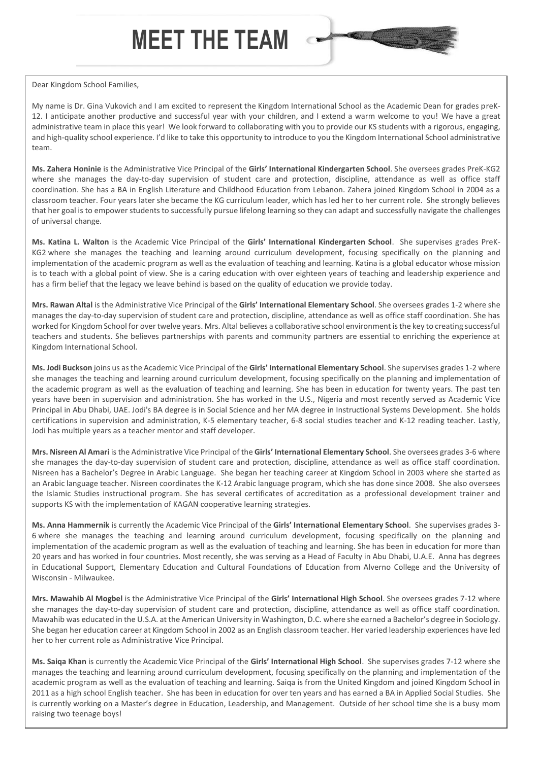# **MEET THE TEAM**



### Dear Kingdom School Families,

My name is Dr. Gina Vukovich and I am excited to represent the Kingdom International School as the Academic Dean for grades preK-12. I anticipate another productive and successful year with your children, and I extend a warm welcome to you! We have a great administrative team in place this year! We look forward to collaborating with you to provide our KS students with a rigorous, engaging, and high-quality school experience. I'd like to take this opportunity to introduce to you the Kingdom International School administrative team.

**Ms. Zahera Honinie** is the Administrative Vice Principal of the **Girls' International Kindergarten School**. She oversees grades PreK-KG2 where she manages the day-to-day supervision of student care and protection, discipline, attendance as well as office staff coordination. She has a BA in English Literature and Childhood Education from Lebanon. Zahera joined Kingdom School in 2004 as a classroom teacher. Four years later she became the KG curriculum leader, which has led her to her current role. She strongly believes that her goal is to empower students to successfully pursue lifelong learning so they can adapt and successfully navigate the challenges of universal change.

**Ms. Katina L. Walton** is the Academic Vice Principal of the **Girls' International Kindergarten School**. She supervises grades PreK-KG2 where she manages the teaching and learning around curriculum development, focusing specifically on the planning and implementation of the academic program as well as the evaluation of teaching and learning. Katina is a global educator whose mission is to teach with a global point of view. She is a caring education with over eighteen years of teaching and leadership experience and has a firm belief that the legacy we leave behind is based on the quality of education we provide today.

**Mrs. Rawan Altal** is the Administrative Vice Principal of the **Girls' International Elementary School**. She oversees grades 1-2 where she manages the day-to-day supervision of student care and protection, discipline, attendance as well as office staff coordination. She has worked for Kingdom School for over twelve years. Mrs. Altal believes a collaborative school environment is the key to creating successful teachers and students. She believes partnerships with parents and community partners are essential to enriching the experience at Kingdom International School.

**Ms. Jodi Buckson** joins us as the Academic Vice Principal of the **Girls' International Elementary School**. She supervises grades 1-2 where she manages the teaching and learning around curriculum development, focusing specifically on the planning and implementation of the academic program as well as the evaluation of teaching and learning. She has been in education for twenty years. The past ten years have been in supervision and administration. She has worked in the U.S., Nigeria and most recently served as Academic Vice Principal in Abu Dhabi, UAE. Jodi's BA degree is in Social Science and her MA degree in Instructional Systems Development. She holds certifications in supervision and administration, K-5 elementary teacher, 6-8 social studies teacher and K-12 reading teacher. Lastly, Jodi has multiple years as a teacher mentor and staff developer.

**Mrs. Nisreen Al Amari** is the Administrative Vice Principal of the **Girls' International Elementary School**. She oversees grades 3-6 where she manages the day-to-day supervision of student care and protection, discipline, attendance as well as office staff coordination. Nisreen has a Bachelor's Degree in Arabic Language. She began her teaching career at Kingdom School in 2003 where she started as an Arabic language teacher. Nisreen coordinates the K-12 Arabic language program, which she has done since 2008. She also oversees the Islamic Studies instructional program. She has several certificates of accreditation as a professional development trainer and supports KS with the implementation of KAGAN cooperative learning strategies.

**Ms. Anna Hammernik** is currently the Academic Vice Principal of the **Girls' International Elementary School**. She supervises grades 3- 6 where she manages the teaching and learning around curriculum development, focusing specifically on the planning and implementation of the academic program as well as the evaluation of teaching and learning. She has been in education for more than 20 years and has worked in four countries. Most recently, she was serving as a Head of Faculty in Abu Dhabi, U.A.E. Anna has degrees in Educational Support, Elementary Education and Cultural Foundations of Education from Alverno College and the University of Wisconsin - Milwaukee.

**Mrs. Mawahib Al Mogbel** is the Administrative Vice Principal of the **Girls' International High School**. She oversees grades 7-12 where she manages the day-to-day supervision of student care and protection, discipline, attendance as well as office staff coordination. Mawahib was educated in the U.S.A. at the American University in Washington, D.C. where she earned a Bachelor's degree in Sociology. She began her education career at Kingdom School in 2002 as an English classroom teacher. Her varied leadership experiences have led her to her current role as Administrative Vice Principal.

**Ms. Saiqa Khan** is currently the Academic Vice Principal of the **Girls' International High School**. She supervises grades 7-12 where she manages the teaching and learning around curriculum development, focusing specifically on the planning and implementation of the academic program as well as the evaluation of teaching and learning. Saiqa is from the United Kingdom and joined Kingdom School in 2011 as a high school English teacher. She has been in education for over ten years and has earned a BA in Applied Social Studies. She is currently working on a Master's degree in Education, Leadership, and Management. Outside of her school time she is a busy mom raising two teenage boys!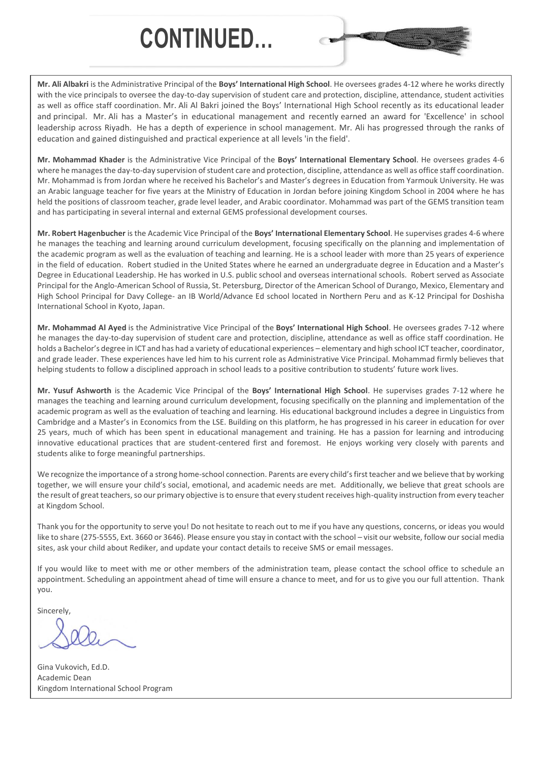# **CONTINUED…**



**Mr. Ali Albakri** is the Administrative Principal of the **Boys' International High School**. He oversees grades 4-12 where he works directly with the vice principals to oversee the day-to-day supervision of student care and protection, discipline, attendance, student activities as well as office staff coordination. Mr. Ali Al Bakri joined the Boys' International High School recently as its educational leader and principal. Mr. Ali has a Master's in educational management and recently earned an award for 'Excellence' in school leadership across Riyadh. He has a depth of experience in school management. Mr. Ali has progressed through the ranks of education and gained distinguished and practical experience at all levels 'in the field'.

**Mr. Mohammad Khader** is the Administrative Vice Principal of the **Boys' International Elementary School**. He oversees grades 4-6 where he manages the day-to-day supervision of student care and protection, discipline, attendance as well as office staff coordination. Mr. Mohammad is from Jordan where he received his Bachelor's and Master's degrees in Education from Yarmouk University. He was an Arabic language teacher for five years at the Ministry of Education in Jordan before joining Kingdom School in 2004 where he has held the positions of classroom teacher, grade level leader, and Arabic coordinator. Mohammad was part of the GEMS transition team and has participating in several internal and external GEMS professional development courses.

**Mr. Robert Hagenbucher** is the Academic Vice Principal of the **Boys' International Elementary School**. He supervises grades 4-6 where he manages the teaching and learning around curriculum development, focusing specifically on the planning and implementation of the academic program as well as the evaluation of teaching and learning. He is a school leader with more than 25 years of experience in the field of education. Robert studied in the United States where he earned an undergraduate degree in Education and a Master's Degree in Educational Leadership. He has worked in U.S. public school and overseas international schools. Robert served as Associate Principal for the Anglo-American School of Russia, St. Petersburg, Director of the American School of Durango, Mexico, Elementary and High School Principal for Davy College- an IB World/Advance Ed school located in Northern Peru and as K-12 Principal for Doshisha International School in Kyoto, Japan.

**Mr. Mohammad Al Ayed** is the Administrative Vice Principal of the **Boys' International High School**. He oversees grades 7-12 where he manages the day-to-day supervision of student care and protection, discipline, attendance as well as office staff coordination. He holds a Bachelor's degree in ICT and has had a variety of educational experiences – elementary and high school ICT teacher, coordinator, and grade leader. These experiences have led him to his current role as Administrative Vice Principal. Mohammad firmly believes that helping students to follow a disciplined approach in school leads to a positive contribution to students' future work lives.

**Mr. Yusuf Ashworth** is the Academic Vice Principal of the **Boys' International High School**. He supervises grades 7-12 where he manages the teaching and learning around curriculum development, focusing specifically on the planning and implementation of the academic program as well as the evaluation of teaching and learning. His educational background includes a degree in Linguistics from Cambridge and a Master's in Economics from the LSE. Building on this platform, he has progressed in his career in education for over 25 years, much of which has been spent in educational management and training. He has a passion for learning and introducing innovative educational practices that are student-centered first and foremost. He enjoys working very closely with parents and students alike to forge meaningful partnerships.

We recognize the importance of a strong home-school connection. Parents are every child's first teacher and we believe that by working together, we will ensure your child's social, emotional, and academic needs are met. Additionally, we believe that great schools are the result of great teachers, so our primary objective is to ensure that every student receives high-quality instruction from every teacher at Kingdom School.

Thank you for the opportunity to serve you! Do not hesitate to reach out to me if you have any questions, concerns, or ideas you would like to share (275-5555, Ext. 3660 or 3646). Please ensure you stay in contact with the school – visit our website, follow our social media sites, ask your child about Rediker, and update your contact details to receive SMS or email messages.

If you would like to meet with me or other members of the administration team, please contact the school office to schedule an appointment. Scheduling an appointment ahead of time will ensure a chance to meet, and for us to give you our full attention. Thank you.

**Sincerely** 

Gina Vukovich, Ed.D. Academic Dean Kingdom International School Program